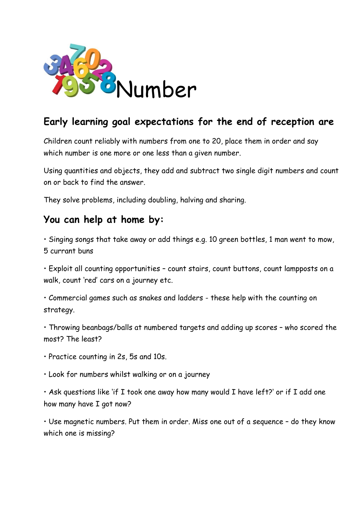

## **Early learning goal expectations for the end of reception are**

Children count reliably with numbers from one to 20, place them in order and say which number is one more or one less than a given number.

Using quantities and objects, they add and subtract two single digit numbers and count on or back to find the answer.

They solve problems, including doubling, halving and sharing.

## **You can help at home by:**

• Singing songs that take away or add things e.g. 10 green bottles, 1 man went to mow, 5 currant buns

• Exploit all counting opportunities – count stairs, count buttons, count lampposts on a walk, count 'red' cars on a journey etc.

• Commercial games such as snakes and ladders - these help with the counting on strategy.

• Throwing beanbags/balls at numbered targets and adding up scores – who scored the most? The least?

• Practice counting in 2s, 5s and 10s.

• Look for numbers whilst walking or on a journey

• Ask questions like 'if I took one away how many would I have left?' or if I add one how many have I got now?

• Use magnetic numbers. Put them in order. Miss one out of a sequence – do they know which one is missing?